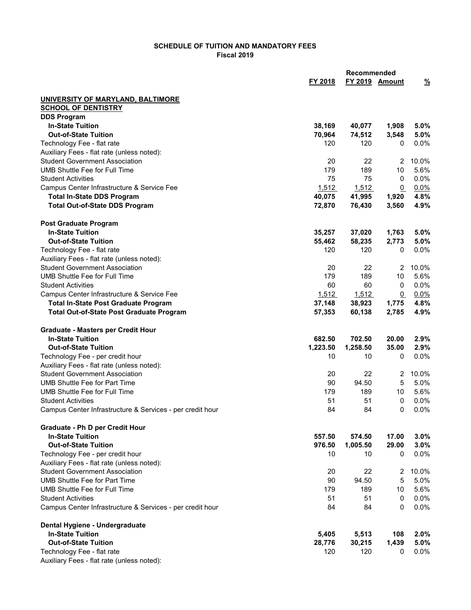## SCHEDULE OF TUITION AND MANDATORY FEES Fiscal 2019

| FY 2019 Amount<br>FY 2018<br>$\frac{9}{6}$<br>UNIVERSITY OF MARYLAND, BALTIMORE<br><b>SCHOOL OF DENTISTRY</b><br><b>DDS Program</b><br><b>In-State Tuition</b><br>38,169<br>40,077<br>1,908<br>5.0%<br><b>Out-of-State Tuition</b><br>70,964<br>74,512<br>3,548<br>5.0%<br>Technology Fee - flat rate<br>120<br>120<br>0<br>0.0%<br>Auxiliary Fees - flat rate (unless noted):<br><b>Student Government Association</b><br>20<br>22<br>10.0%<br>$\overline{2}$<br><b>UMB Shuttle Fee for Full Time</b><br>179<br>189<br>5.6%<br>10<br>75<br>75<br>0.0%<br><b>Student Activities</b><br>0<br>0.0%<br>Campus Center Infrastructure & Service Fee<br>1,512<br>1,512<br>$\mathbf{0}$<br><b>Total In-State DDS Program</b><br>1,920<br>4.8%<br>40,075<br>41,995<br>4.9%<br><b>Total Out-of-State DDS Program</b><br>72,870<br>76,430<br>3,560<br><b>Post Graduate Program</b><br><b>In-State Tuition</b><br>35,257<br>37,020<br>1,763<br>5.0%<br><b>Out-of-State Tuition</b><br>5.0%<br>55,462<br>58,235<br>2,773<br>Technology Fee - flat rate<br>120<br>120<br>0.0%<br>0<br>Auxiliary Fees - flat rate (unless noted):<br><b>Student Government Association</b><br>20<br>22<br>10.0%<br>2<br><b>UMB Shuttle Fee for Full Time</b><br>179<br>189<br>5.6%<br>10<br>60<br>60<br>0.0%<br><b>Student Activities</b><br>0<br>0.0%<br>Campus Center Infrastructure & Service Fee<br>1,512<br>1,512<br>$\mathbf{0}$<br><b>Total In-State Post Graduate Program</b><br>37,148<br>38,923<br>4.8%<br>1,775<br>4.9%<br><b>Total Out-of-State Post Graduate Program</b><br>57,353<br>60,138<br>2,785<br><b>Graduate - Masters per Credit Hour</b><br><b>In-State Tuition</b><br>682.50<br>702.50<br>20.00<br>2.9%<br><b>Out-of-State Tuition</b><br>1,223.50<br>1,258.50<br>35.00<br>2.9%<br>10<br>0.0%<br>Technology Fee - per credit hour<br>10<br>0<br>Auxiliary Fees - flat rate (unless noted):<br><b>Student Government Association</b><br>22<br>20<br>10.0%<br>$\overline{2}$<br><b>UMB Shuttle Fee for Part Time</b><br>90<br>94.50<br>5<br>5.0%<br>UMB Shuttle Fee for Full Time<br>5.6%<br>179<br>189<br>10<br>51<br>51<br>0.0%<br><b>Student Activities</b><br>0<br>0.0%<br>Campus Center Infrastructure & Services - per credit hour<br>84<br>84<br>0<br>Graduate - Ph D per Credit Hour<br><b>In-State Tuition</b><br>557.50<br>574.50<br>17.00<br>3.0%<br><b>Out-of-State Tuition</b><br>976.50<br>1,005.50<br>29.00<br>3.0%<br>10<br>0.0%<br>Technology Fee - per credit hour<br>10<br>0<br>Auxiliary Fees - flat rate (unless noted):<br><b>Student Government Association</b><br>20<br>22<br>10.0%<br>$\overline{2}$<br><b>UMB Shuttle Fee for Part Time</b><br>90<br>94.50<br>5<br>5.0%<br>179<br>189<br>5.6%<br><b>UMB Shuttle Fee for Full Time</b><br>10<br><b>Student Activities</b><br>51<br>51<br>0.0%<br>0<br>Campus Center Infrastructure & Services - per credit hour<br>84<br>0.0%<br>84<br>0<br>Dental Hygiene - Undergraduate<br><b>In-State Tuition</b><br>5,405<br>5,513<br>108<br>2.0%<br><b>Out-of-State Tuition</b><br>1,439<br>5.0%<br>28,776<br>30,215<br>Technology Fee - flat rate<br>0.0%<br>120<br>120<br>0<br>Auxiliary Fees - flat rate (unless noted): |  | Recommended |  |  |
|------------------------------------------------------------------------------------------------------------------------------------------------------------------------------------------------------------------------------------------------------------------------------------------------------------------------------------------------------------------------------------------------------------------------------------------------------------------------------------------------------------------------------------------------------------------------------------------------------------------------------------------------------------------------------------------------------------------------------------------------------------------------------------------------------------------------------------------------------------------------------------------------------------------------------------------------------------------------------------------------------------------------------------------------------------------------------------------------------------------------------------------------------------------------------------------------------------------------------------------------------------------------------------------------------------------------------------------------------------------------------------------------------------------------------------------------------------------------------------------------------------------------------------------------------------------------------------------------------------------------------------------------------------------------------------------------------------------------------------------------------------------------------------------------------------------------------------------------------------------------------------------------------------------------------------------------------------------------------------------------------------------------------------------------------------------------------------------------------------------------------------------------------------------------------------------------------------------------------------------------------------------------------------------------------------------------------------------------------------------------------------------------------------------------------------------------------------------------------------------------------------------------------------------------------------------------------------------------------------------------------------------------------------------------------------------------------------------------------------------------------------------------------------------------------------------------------------------------------------------------------------------------------------------------------------------------------------------------------------------------------------------------------------------------------------------------------------------------------------------------------------------------------------------------------------|--|-------------|--|--|
|                                                                                                                                                                                                                                                                                                                                                                                                                                                                                                                                                                                                                                                                                                                                                                                                                                                                                                                                                                                                                                                                                                                                                                                                                                                                                                                                                                                                                                                                                                                                                                                                                                                                                                                                                                                                                                                                                                                                                                                                                                                                                                                                                                                                                                                                                                                                                                                                                                                                                                                                                                                                                                                                                                                                                                                                                                                                                                                                                                                                                                                                                                                                                                                    |  |             |  |  |
|                                                                                                                                                                                                                                                                                                                                                                                                                                                                                                                                                                                                                                                                                                                                                                                                                                                                                                                                                                                                                                                                                                                                                                                                                                                                                                                                                                                                                                                                                                                                                                                                                                                                                                                                                                                                                                                                                                                                                                                                                                                                                                                                                                                                                                                                                                                                                                                                                                                                                                                                                                                                                                                                                                                                                                                                                                                                                                                                                                                                                                                                                                                                                                                    |  |             |  |  |
|                                                                                                                                                                                                                                                                                                                                                                                                                                                                                                                                                                                                                                                                                                                                                                                                                                                                                                                                                                                                                                                                                                                                                                                                                                                                                                                                                                                                                                                                                                                                                                                                                                                                                                                                                                                                                                                                                                                                                                                                                                                                                                                                                                                                                                                                                                                                                                                                                                                                                                                                                                                                                                                                                                                                                                                                                                                                                                                                                                                                                                                                                                                                                                                    |  |             |  |  |
|                                                                                                                                                                                                                                                                                                                                                                                                                                                                                                                                                                                                                                                                                                                                                                                                                                                                                                                                                                                                                                                                                                                                                                                                                                                                                                                                                                                                                                                                                                                                                                                                                                                                                                                                                                                                                                                                                                                                                                                                                                                                                                                                                                                                                                                                                                                                                                                                                                                                                                                                                                                                                                                                                                                                                                                                                                                                                                                                                                                                                                                                                                                                                                                    |  |             |  |  |
|                                                                                                                                                                                                                                                                                                                                                                                                                                                                                                                                                                                                                                                                                                                                                                                                                                                                                                                                                                                                                                                                                                                                                                                                                                                                                                                                                                                                                                                                                                                                                                                                                                                                                                                                                                                                                                                                                                                                                                                                                                                                                                                                                                                                                                                                                                                                                                                                                                                                                                                                                                                                                                                                                                                                                                                                                                                                                                                                                                                                                                                                                                                                                                                    |  |             |  |  |
|                                                                                                                                                                                                                                                                                                                                                                                                                                                                                                                                                                                                                                                                                                                                                                                                                                                                                                                                                                                                                                                                                                                                                                                                                                                                                                                                                                                                                                                                                                                                                                                                                                                                                                                                                                                                                                                                                                                                                                                                                                                                                                                                                                                                                                                                                                                                                                                                                                                                                                                                                                                                                                                                                                                                                                                                                                                                                                                                                                                                                                                                                                                                                                                    |  |             |  |  |
|                                                                                                                                                                                                                                                                                                                                                                                                                                                                                                                                                                                                                                                                                                                                                                                                                                                                                                                                                                                                                                                                                                                                                                                                                                                                                                                                                                                                                                                                                                                                                                                                                                                                                                                                                                                                                                                                                                                                                                                                                                                                                                                                                                                                                                                                                                                                                                                                                                                                                                                                                                                                                                                                                                                                                                                                                                                                                                                                                                                                                                                                                                                                                                                    |  |             |  |  |
|                                                                                                                                                                                                                                                                                                                                                                                                                                                                                                                                                                                                                                                                                                                                                                                                                                                                                                                                                                                                                                                                                                                                                                                                                                                                                                                                                                                                                                                                                                                                                                                                                                                                                                                                                                                                                                                                                                                                                                                                                                                                                                                                                                                                                                                                                                                                                                                                                                                                                                                                                                                                                                                                                                                                                                                                                                                                                                                                                                                                                                                                                                                                                                                    |  |             |  |  |
|                                                                                                                                                                                                                                                                                                                                                                                                                                                                                                                                                                                                                                                                                                                                                                                                                                                                                                                                                                                                                                                                                                                                                                                                                                                                                                                                                                                                                                                                                                                                                                                                                                                                                                                                                                                                                                                                                                                                                                                                                                                                                                                                                                                                                                                                                                                                                                                                                                                                                                                                                                                                                                                                                                                                                                                                                                                                                                                                                                                                                                                                                                                                                                                    |  |             |  |  |
|                                                                                                                                                                                                                                                                                                                                                                                                                                                                                                                                                                                                                                                                                                                                                                                                                                                                                                                                                                                                                                                                                                                                                                                                                                                                                                                                                                                                                                                                                                                                                                                                                                                                                                                                                                                                                                                                                                                                                                                                                                                                                                                                                                                                                                                                                                                                                                                                                                                                                                                                                                                                                                                                                                                                                                                                                                                                                                                                                                                                                                                                                                                                                                                    |  |             |  |  |
|                                                                                                                                                                                                                                                                                                                                                                                                                                                                                                                                                                                                                                                                                                                                                                                                                                                                                                                                                                                                                                                                                                                                                                                                                                                                                                                                                                                                                                                                                                                                                                                                                                                                                                                                                                                                                                                                                                                                                                                                                                                                                                                                                                                                                                                                                                                                                                                                                                                                                                                                                                                                                                                                                                                                                                                                                                                                                                                                                                                                                                                                                                                                                                                    |  |             |  |  |
|                                                                                                                                                                                                                                                                                                                                                                                                                                                                                                                                                                                                                                                                                                                                                                                                                                                                                                                                                                                                                                                                                                                                                                                                                                                                                                                                                                                                                                                                                                                                                                                                                                                                                                                                                                                                                                                                                                                                                                                                                                                                                                                                                                                                                                                                                                                                                                                                                                                                                                                                                                                                                                                                                                                                                                                                                                                                                                                                                                                                                                                                                                                                                                                    |  |             |  |  |
|                                                                                                                                                                                                                                                                                                                                                                                                                                                                                                                                                                                                                                                                                                                                                                                                                                                                                                                                                                                                                                                                                                                                                                                                                                                                                                                                                                                                                                                                                                                                                                                                                                                                                                                                                                                                                                                                                                                                                                                                                                                                                                                                                                                                                                                                                                                                                                                                                                                                                                                                                                                                                                                                                                                                                                                                                                                                                                                                                                                                                                                                                                                                                                                    |  |             |  |  |
|                                                                                                                                                                                                                                                                                                                                                                                                                                                                                                                                                                                                                                                                                                                                                                                                                                                                                                                                                                                                                                                                                                                                                                                                                                                                                                                                                                                                                                                                                                                                                                                                                                                                                                                                                                                                                                                                                                                                                                                                                                                                                                                                                                                                                                                                                                                                                                                                                                                                                                                                                                                                                                                                                                                                                                                                                                                                                                                                                                                                                                                                                                                                                                                    |  |             |  |  |
|                                                                                                                                                                                                                                                                                                                                                                                                                                                                                                                                                                                                                                                                                                                                                                                                                                                                                                                                                                                                                                                                                                                                                                                                                                                                                                                                                                                                                                                                                                                                                                                                                                                                                                                                                                                                                                                                                                                                                                                                                                                                                                                                                                                                                                                                                                                                                                                                                                                                                                                                                                                                                                                                                                                                                                                                                                                                                                                                                                                                                                                                                                                                                                                    |  |             |  |  |
|                                                                                                                                                                                                                                                                                                                                                                                                                                                                                                                                                                                                                                                                                                                                                                                                                                                                                                                                                                                                                                                                                                                                                                                                                                                                                                                                                                                                                                                                                                                                                                                                                                                                                                                                                                                                                                                                                                                                                                                                                                                                                                                                                                                                                                                                                                                                                                                                                                                                                                                                                                                                                                                                                                                                                                                                                                                                                                                                                                                                                                                                                                                                                                                    |  |             |  |  |
|                                                                                                                                                                                                                                                                                                                                                                                                                                                                                                                                                                                                                                                                                                                                                                                                                                                                                                                                                                                                                                                                                                                                                                                                                                                                                                                                                                                                                                                                                                                                                                                                                                                                                                                                                                                                                                                                                                                                                                                                                                                                                                                                                                                                                                                                                                                                                                                                                                                                                                                                                                                                                                                                                                                                                                                                                                                                                                                                                                                                                                                                                                                                                                                    |  |             |  |  |
|                                                                                                                                                                                                                                                                                                                                                                                                                                                                                                                                                                                                                                                                                                                                                                                                                                                                                                                                                                                                                                                                                                                                                                                                                                                                                                                                                                                                                                                                                                                                                                                                                                                                                                                                                                                                                                                                                                                                                                                                                                                                                                                                                                                                                                                                                                                                                                                                                                                                                                                                                                                                                                                                                                                                                                                                                                                                                                                                                                                                                                                                                                                                                                                    |  |             |  |  |
|                                                                                                                                                                                                                                                                                                                                                                                                                                                                                                                                                                                                                                                                                                                                                                                                                                                                                                                                                                                                                                                                                                                                                                                                                                                                                                                                                                                                                                                                                                                                                                                                                                                                                                                                                                                                                                                                                                                                                                                                                                                                                                                                                                                                                                                                                                                                                                                                                                                                                                                                                                                                                                                                                                                                                                                                                                                                                                                                                                                                                                                                                                                                                                                    |  |             |  |  |
|                                                                                                                                                                                                                                                                                                                                                                                                                                                                                                                                                                                                                                                                                                                                                                                                                                                                                                                                                                                                                                                                                                                                                                                                                                                                                                                                                                                                                                                                                                                                                                                                                                                                                                                                                                                                                                                                                                                                                                                                                                                                                                                                                                                                                                                                                                                                                                                                                                                                                                                                                                                                                                                                                                                                                                                                                                                                                                                                                                                                                                                                                                                                                                                    |  |             |  |  |
|                                                                                                                                                                                                                                                                                                                                                                                                                                                                                                                                                                                                                                                                                                                                                                                                                                                                                                                                                                                                                                                                                                                                                                                                                                                                                                                                                                                                                                                                                                                                                                                                                                                                                                                                                                                                                                                                                                                                                                                                                                                                                                                                                                                                                                                                                                                                                                                                                                                                                                                                                                                                                                                                                                                                                                                                                                                                                                                                                                                                                                                                                                                                                                                    |  |             |  |  |
|                                                                                                                                                                                                                                                                                                                                                                                                                                                                                                                                                                                                                                                                                                                                                                                                                                                                                                                                                                                                                                                                                                                                                                                                                                                                                                                                                                                                                                                                                                                                                                                                                                                                                                                                                                                                                                                                                                                                                                                                                                                                                                                                                                                                                                                                                                                                                                                                                                                                                                                                                                                                                                                                                                                                                                                                                                                                                                                                                                                                                                                                                                                                                                                    |  |             |  |  |
|                                                                                                                                                                                                                                                                                                                                                                                                                                                                                                                                                                                                                                                                                                                                                                                                                                                                                                                                                                                                                                                                                                                                                                                                                                                                                                                                                                                                                                                                                                                                                                                                                                                                                                                                                                                                                                                                                                                                                                                                                                                                                                                                                                                                                                                                                                                                                                                                                                                                                                                                                                                                                                                                                                                                                                                                                                                                                                                                                                                                                                                                                                                                                                                    |  |             |  |  |
|                                                                                                                                                                                                                                                                                                                                                                                                                                                                                                                                                                                                                                                                                                                                                                                                                                                                                                                                                                                                                                                                                                                                                                                                                                                                                                                                                                                                                                                                                                                                                                                                                                                                                                                                                                                                                                                                                                                                                                                                                                                                                                                                                                                                                                                                                                                                                                                                                                                                                                                                                                                                                                                                                                                                                                                                                                                                                                                                                                                                                                                                                                                                                                                    |  |             |  |  |
|                                                                                                                                                                                                                                                                                                                                                                                                                                                                                                                                                                                                                                                                                                                                                                                                                                                                                                                                                                                                                                                                                                                                                                                                                                                                                                                                                                                                                                                                                                                                                                                                                                                                                                                                                                                                                                                                                                                                                                                                                                                                                                                                                                                                                                                                                                                                                                                                                                                                                                                                                                                                                                                                                                                                                                                                                                                                                                                                                                                                                                                                                                                                                                                    |  |             |  |  |
|                                                                                                                                                                                                                                                                                                                                                                                                                                                                                                                                                                                                                                                                                                                                                                                                                                                                                                                                                                                                                                                                                                                                                                                                                                                                                                                                                                                                                                                                                                                                                                                                                                                                                                                                                                                                                                                                                                                                                                                                                                                                                                                                                                                                                                                                                                                                                                                                                                                                                                                                                                                                                                                                                                                                                                                                                                                                                                                                                                                                                                                                                                                                                                                    |  |             |  |  |
|                                                                                                                                                                                                                                                                                                                                                                                                                                                                                                                                                                                                                                                                                                                                                                                                                                                                                                                                                                                                                                                                                                                                                                                                                                                                                                                                                                                                                                                                                                                                                                                                                                                                                                                                                                                                                                                                                                                                                                                                                                                                                                                                                                                                                                                                                                                                                                                                                                                                                                                                                                                                                                                                                                                                                                                                                                                                                                                                                                                                                                                                                                                                                                                    |  |             |  |  |
|                                                                                                                                                                                                                                                                                                                                                                                                                                                                                                                                                                                                                                                                                                                                                                                                                                                                                                                                                                                                                                                                                                                                                                                                                                                                                                                                                                                                                                                                                                                                                                                                                                                                                                                                                                                                                                                                                                                                                                                                                                                                                                                                                                                                                                                                                                                                                                                                                                                                                                                                                                                                                                                                                                                                                                                                                                                                                                                                                                                                                                                                                                                                                                                    |  |             |  |  |
|                                                                                                                                                                                                                                                                                                                                                                                                                                                                                                                                                                                                                                                                                                                                                                                                                                                                                                                                                                                                                                                                                                                                                                                                                                                                                                                                                                                                                                                                                                                                                                                                                                                                                                                                                                                                                                                                                                                                                                                                                                                                                                                                                                                                                                                                                                                                                                                                                                                                                                                                                                                                                                                                                                                                                                                                                                                                                                                                                                                                                                                                                                                                                                                    |  |             |  |  |
|                                                                                                                                                                                                                                                                                                                                                                                                                                                                                                                                                                                                                                                                                                                                                                                                                                                                                                                                                                                                                                                                                                                                                                                                                                                                                                                                                                                                                                                                                                                                                                                                                                                                                                                                                                                                                                                                                                                                                                                                                                                                                                                                                                                                                                                                                                                                                                                                                                                                                                                                                                                                                                                                                                                                                                                                                                                                                                                                                                                                                                                                                                                                                                                    |  |             |  |  |
|                                                                                                                                                                                                                                                                                                                                                                                                                                                                                                                                                                                                                                                                                                                                                                                                                                                                                                                                                                                                                                                                                                                                                                                                                                                                                                                                                                                                                                                                                                                                                                                                                                                                                                                                                                                                                                                                                                                                                                                                                                                                                                                                                                                                                                                                                                                                                                                                                                                                                                                                                                                                                                                                                                                                                                                                                                                                                                                                                                                                                                                                                                                                                                                    |  |             |  |  |
|                                                                                                                                                                                                                                                                                                                                                                                                                                                                                                                                                                                                                                                                                                                                                                                                                                                                                                                                                                                                                                                                                                                                                                                                                                                                                                                                                                                                                                                                                                                                                                                                                                                                                                                                                                                                                                                                                                                                                                                                                                                                                                                                                                                                                                                                                                                                                                                                                                                                                                                                                                                                                                                                                                                                                                                                                                                                                                                                                                                                                                                                                                                                                                                    |  |             |  |  |
|                                                                                                                                                                                                                                                                                                                                                                                                                                                                                                                                                                                                                                                                                                                                                                                                                                                                                                                                                                                                                                                                                                                                                                                                                                                                                                                                                                                                                                                                                                                                                                                                                                                                                                                                                                                                                                                                                                                                                                                                                                                                                                                                                                                                                                                                                                                                                                                                                                                                                                                                                                                                                                                                                                                                                                                                                                                                                                                                                                                                                                                                                                                                                                                    |  |             |  |  |
|                                                                                                                                                                                                                                                                                                                                                                                                                                                                                                                                                                                                                                                                                                                                                                                                                                                                                                                                                                                                                                                                                                                                                                                                                                                                                                                                                                                                                                                                                                                                                                                                                                                                                                                                                                                                                                                                                                                                                                                                                                                                                                                                                                                                                                                                                                                                                                                                                                                                                                                                                                                                                                                                                                                                                                                                                                                                                                                                                                                                                                                                                                                                                                                    |  |             |  |  |
|                                                                                                                                                                                                                                                                                                                                                                                                                                                                                                                                                                                                                                                                                                                                                                                                                                                                                                                                                                                                                                                                                                                                                                                                                                                                                                                                                                                                                                                                                                                                                                                                                                                                                                                                                                                                                                                                                                                                                                                                                                                                                                                                                                                                                                                                                                                                                                                                                                                                                                                                                                                                                                                                                                                                                                                                                                                                                                                                                                                                                                                                                                                                                                                    |  |             |  |  |
|                                                                                                                                                                                                                                                                                                                                                                                                                                                                                                                                                                                                                                                                                                                                                                                                                                                                                                                                                                                                                                                                                                                                                                                                                                                                                                                                                                                                                                                                                                                                                                                                                                                                                                                                                                                                                                                                                                                                                                                                                                                                                                                                                                                                                                                                                                                                                                                                                                                                                                                                                                                                                                                                                                                                                                                                                                                                                                                                                                                                                                                                                                                                                                                    |  |             |  |  |
|                                                                                                                                                                                                                                                                                                                                                                                                                                                                                                                                                                                                                                                                                                                                                                                                                                                                                                                                                                                                                                                                                                                                                                                                                                                                                                                                                                                                                                                                                                                                                                                                                                                                                                                                                                                                                                                                                                                                                                                                                                                                                                                                                                                                                                                                                                                                                                                                                                                                                                                                                                                                                                                                                                                                                                                                                                                                                                                                                                                                                                                                                                                                                                                    |  |             |  |  |
|                                                                                                                                                                                                                                                                                                                                                                                                                                                                                                                                                                                                                                                                                                                                                                                                                                                                                                                                                                                                                                                                                                                                                                                                                                                                                                                                                                                                                                                                                                                                                                                                                                                                                                                                                                                                                                                                                                                                                                                                                                                                                                                                                                                                                                                                                                                                                                                                                                                                                                                                                                                                                                                                                                                                                                                                                                                                                                                                                                                                                                                                                                                                                                                    |  |             |  |  |
|                                                                                                                                                                                                                                                                                                                                                                                                                                                                                                                                                                                                                                                                                                                                                                                                                                                                                                                                                                                                                                                                                                                                                                                                                                                                                                                                                                                                                                                                                                                                                                                                                                                                                                                                                                                                                                                                                                                                                                                                                                                                                                                                                                                                                                                                                                                                                                                                                                                                                                                                                                                                                                                                                                                                                                                                                                                                                                                                                                                                                                                                                                                                                                                    |  |             |  |  |
|                                                                                                                                                                                                                                                                                                                                                                                                                                                                                                                                                                                                                                                                                                                                                                                                                                                                                                                                                                                                                                                                                                                                                                                                                                                                                                                                                                                                                                                                                                                                                                                                                                                                                                                                                                                                                                                                                                                                                                                                                                                                                                                                                                                                                                                                                                                                                                                                                                                                                                                                                                                                                                                                                                                                                                                                                                                                                                                                                                                                                                                                                                                                                                                    |  |             |  |  |
|                                                                                                                                                                                                                                                                                                                                                                                                                                                                                                                                                                                                                                                                                                                                                                                                                                                                                                                                                                                                                                                                                                                                                                                                                                                                                                                                                                                                                                                                                                                                                                                                                                                                                                                                                                                                                                                                                                                                                                                                                                                                                                                                                                                                                                                                                                                                                                                                                                                                                                                                                                                                                                                                                                                                                                                                                                                                                                                                                                                                                                                                                                                                                                                    |  |             |  |  |
|                                                                                                                                                                                                                                                                                                                                                                                                                                                                                                                                                                                                                                                                                                                                                                                                                                                                                                                                                                                                                                                                                                                                                                                                                                                                                                                                                                                                                                                                                                                                                                                                                                                                                                                                                                                                                                                                                                                                                                                                                                                                                                                                                                                                                                                                                                                                                                                                                                                                                                                                                                                                                                                                                                                                                                                                                                                                                                                                                                                                                                                                                                                                                                                    |  |             |  |  |
|                                                                                                                                                                                                                                                                                                                                                                                                                                                                                                                                                                                                                                                                                                                                                                                                                                                                                                                                                                                                                                                                                                                                                                                                                                                                                                                                                                                                                                                                                                                                                                                                                                                                                                                                                                                                                                                                                                                                                                                                                                                                                                                                                                                                                                                                                                                                                                                                                                                                                                                                                                                                                                                                                                                                                                                                                                                                                                                                                                                                                                                                                                                                                                                    |  |             |  |  |
|                                                                                                                                                                                                                                                                                                                                                                                                                                                                                                                                                                                                                                                                                                                                                                                                                                                                                                                                                                                                                                                                                                                                                                                                                                                                                                                                                                                                                                                                                                                                                                                                                                                                                                                                                                                                                                                                                                                                                                                                                                                                                                                                                                                                                                                                                                                                                                                                                                                                                                                                                                                                                                                                                                                                                                                                                                                                                                                                                                                                                                                                                                                                                                                    |  |             |  |  |
|                                                                                                                                                                                                                                                                                                                                                                                                                                                                                                                                                                                                                                                                                                                                                                                                                                                                                                                                                                                                                                                                                                                                                                                                                                                                                                                                                                                                                                                                                                                                                                                                                                                                                                                                                                                                                                                                                                                                                                                                                                                                                                                                                                                                                                                                                                                                                                                                                                                                                                                                                                                                                                                                                                                                                                                                                                                                                                                                                                                                                                                                                                                                                                                    |  |             |  |  |
|                                                                                                                                                                                                                                                                                                                                                                                                                                                                                                                                                                                                                                                                                                                                                                                                                                                                                                                                                                                                                                                                                                                                                                                                                                                                                                                                                                                                                                                                                                                                                                                                                                                                                                                                                                                                                                                                                                                                                                                                                                                                                                                                                                                                                                                                                                                                                                                                                                                                                                                                                                                                                                                                                                                                                                                                                                                                                                                                                                                                                                                                                                                                                                                    |  |             |  |  |
|                                                                                                                                                                                                                                                                                                                                                                                                                                                                                                                                                                                                                                                                                                                                                                                                                                                                                                                                                                                                                                                                                                                                                                                                                                                                                                                                                                                                                                                                                                                                                                                                                                                                                                                                                                                                                                                                                                                                                                                                                                                                                                                                                                                                                                                                                                                                                                                                                                                                                                                                                                                                                                                                                                                                                                                                                                                                                                                                                                                                                                                                                                                                                                                    |  |             |  |  |
|                                                                                                                                                                                                                                                                                                                                                                                                                                                                                                                                                                                                                                                                                                                                                                                                                                                                                                                                                                                                                                                                                                                                                                                                                                                                                                                                                                                                                                                                                                                                                                                                                                                                                                                                                                                                                                                                                                                                                                                                                                                                                                                                                                                                                                                                                                                                                                                                                                                                                                                                                                                                                                                                                                                                                                                                                                                                                                                                                                                                                                                                                                                                                                                    |  |             |  |  |
|                                                                                                                                                                                                                                                                                                                                                                                                                                                                                                                                                                                                                                                                                                                                                                                                                                                                                                                                                                                                                                                                                                                                                                                                                                                                                                                                                                                                                                                                                                                                                                                                                                                                                                                                                                                                                                                                                                                                                                                                                                                                                                                                                                                                                                                                                                                                                                                                                                                                                                                                                                                                                                                                                                                                                                                                                                                                                                                                                                                                                                                                                                                                                                                    |  |             |  |  |
|                                                                                                                                                                                                                                                                                                                                                                                                                                                                                                                                                                                                                                                                                                                                                                                                                                                                                                                                                                                                                                                                                                                                                                                                                                                                                                                                                                                                                                                                                                                                                                                                                                                                                                                                                                                                                                                                                                                                                                                                                                                                                                                                                                                                                                                                                                                                                                                                                                                                                                                                                                                                                                                                                                                                                                                                                                                                                                                                                                                                                                                                                                                                                                                    |  |             |  |  |
|                                                                                                                                                                                                                                                                                                                                                                                                                                                                                                                                                                                                                                                                                                                                                                                                                                                                                                                                                                                                                                                                                                                                                                                                                                                                                                                                                                                                                                                                                                                                                                                                                                                                                                                                                                                                                                                                                                                                                                                                                                                                                                                                                                                                                                                                                                                                                                                                                                                                                                                                                                                                                                                                                                                                                                                                                                                                                                                                                                                                                                                                                                                                                                                    |  |             |  |  |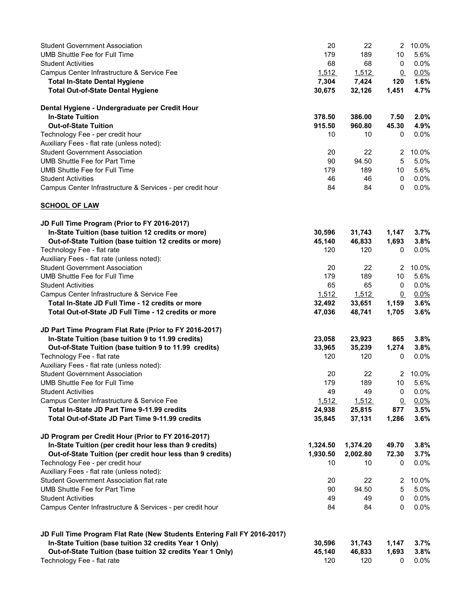| <b>Student Government Association</b>                                    | 20       | 22       | 2               | 10.0%           |
|--------------------------------------------------------------------------|----------|----------|-----------------|-----------------|
| UMB Shuttle Fee for Full Time                                            | 179      | 189      | 10              | 5.6%            |
| <b>Student Activities</b>                                                | 68       | 68       | 0               | 0.0%            |
| Campus Center Infrastructure & Service Fee                               | 1,512    | 1,512    | $\overline{0}$  | 0.0%            |
| <b>Total In-State Dental Hygiene</b>                                     | 7,304    | 7,424    | 120             | 1.6%            |
| <b>Total Out-of-State Dental Hygiene</b>                                 | 30,675   | 32,126   | 1,451           | 4.7%            |
| Dental Hygiene - Undergraduate per Credit Hour                           |          |          |                 |                 |
| <b>In-State Tuition</b>                                                  | 378.50   | 386.00   | 7.50            | 2.0%            |
| <b>Out-of-State Tuition</b>                                              |          |          |                 |                 |
|                                                                          | 915.50   | 960.80   | 45.30           | 4.9%<br>$0.0\%$ |
| Technology Fee - per credit hour                                         | 10       | 10       | 0               |                 |
| Auxiliary Fees - flat rate (unless noted):                               |          |          |                 |                 |
| <b>Student Government Association</b>                                    | 20       | 22       | 2               | 10.0%           |
| <b>UMB Shuttle Fee for Part Time</b>                                     | 90       | 94.50    | $\sqrt{5}$      | 5.0%            |
| <b>UMB Shuttle Fee for Full Time</b>                                     | 179      | 189      | 10              | 5.6%            |
| <b>Student Activities</b>                                                | 46       | 46       | 0               | 0.0%            |
| Campus Center Infrastructure & Services - per credit hour                | 84       | 84       | 0               | 0.0%            |
| <b>SCHOOL OF LAW</b>                                                     |          |          |                 |                 |
| JD Full Time Program (Prior to FY 2016-2017)                             |          |          |                 |                 |
| In-State Tuition (base tuition 12 credits or more)                       | 30,596   | 31,743   | 1,147           | 3.7%            |
| Out-of-State Tuition (base tuition 12 credits or more)                   | 45,140   | 46,833   | 1,693           | 3.8%            |
| Technology Fee - flat rate                                               | 120      | 120      | 0               | $0.0\%$         |
| Auxiliary Fees - flat rate (unless noted):                               |          |          |                 |                 |
| <b>Student Government Association</b>                                    | 20       | 22       | $\mathbf{2}$    | 10.0%           |
| <b>UMB Shuttle Fee for Full Time</b>                                     | 179      | 189      | 10              | 5.6%            |
| <b>Student Activities</b>                                                | 65       | 65       | 0               | 0.0%            |
| Campus Center Infrastructure & Service Fee                               | 1,512    | 1,512    | $\overline{0}$  | 0.0%            |
| Total In-State JD Full Time - 12 credits or more                         | 32,492   | 33,651   | 1,159           | 3.6%            |
| Total Out-of-State JD Full Time - 12 credits or more                     | 47,036   | 48,741   | 1,705           | 3.6%            |
| JD Part Time Program Flat Rate (Prior to FY 2016-2017)                   |          |          |                 |                 |
| In-State Tuition (base tuition 9 to 11.99 credits)                       | 23,058   | 23,923   | 865             | 3.8%            |
| Out-of-State Tuition (base tuition 9 to 11.99 credits)                   | 33,965   | 35,239   | 1,274           | 3.8%            |
| Technology Fee - flat rate                                               | 120      | 120      | 0               | $0.0\%$         |
| Auxiliary Fees - flat rate (unless noted):                               |          |          |                 |                 |
| <b>Student Government Association</b>                                    | 20       | 22       | $\overline{2}$  | 10.0%           |
| UMB Shuttle Fee for Full Time                                            | 179      | 189      | 10              | 5.6%            |
| <b>Student Activities</b>                                                | 49       | 49       | $\pmb{0}$       | 0.0%            |
|                                                                          | 1,512    |          |                 |                 |
| Campus Center Infrastructure & Service Fee                               |          | 1,512    | $\underline{0}$ | 0.0%            |
| Total In-State JD Part Time 9-11.99 credits                              | 24,938   | 25,815   | 877             | 3.5%            |
| Total Out-of-State JD Part Time 9-11.99 credits                          | 35,845   | 37,131   | 1,286           | 3.6%            |
| JD Program per Credit Hour (Prior to FY 2016-2017)                       |          |          |                 |                 |
| In-State Tuition (per credit hour less than 9 credits)                   | 1,324.50 | 1,374.20 | 49.70           | 3.8%            |
| Out-of-State Tuition (per credit hour less than 9 credits)               | 1,930.50 | 2,002.80 | 72.30           | 3.7%            |
| Technology Fee - per credit hour                                         | 10       | 10       | 0               | 0.0%            |
| Auxiliary Fees - flat rate (unless noted):                               |          |          |                 |                 |
| Student Government Association flat rate                                 | 20       | 22       | 2               | 10.0%           |
| UMB Shuttle Fee for Part Time                                            | 90       | 94.50    | 5               | 5.0%            |
| <b>Student Activities</b>                                                | 49       | 49       | 0               | 0.0%            |
| Campus Center Infrastructure & Services - per credit hour                | 84       | 84       | 0               | 0.0%            |
|                                                                          |          |          |                 |                 |
| JD Full Time Program Flat Rate (New Students Entering Fall FY 2016-2017) |          |          |                 |                 |
| In-State Tuition (base tuition 32 credits Year 1 Only)                   | 30,596   | 31,743   | 1,147           | 3.7%            |
| Out-of-State Tuition (base tuition 32 credits Year 1 Only)               | 45,140   | 46,833   | 1,693           | 3.8%            |
| Technology Fee - flat rate                                               | 120      | 120      | 0               | 0.0%            |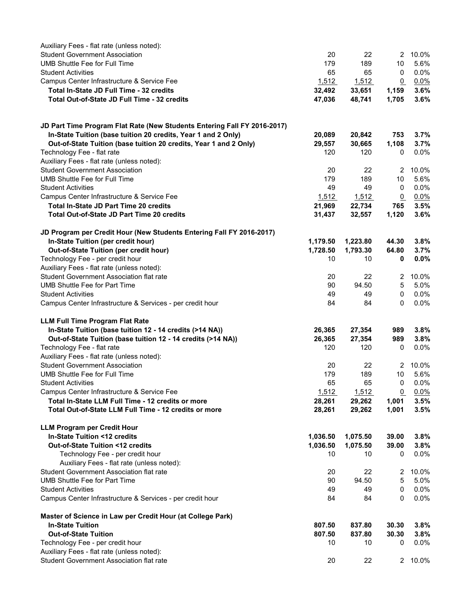| Auxiliary Fees - flat rate (unless noted):                                             |          |          |                 |                 |
|----------------------------------------------------------------------------------------|----------|----------|-----------------|-----------------|
| <b>Student Government Association</b>                                                  | 20       | 22       | $2^{\circ}$     | 10.0%           |
| <b>UMB Shuttle Fee for Full Time</b>                                                   | 179      | 189      | 10              | 5.6%            |
| <b>Student Activities</b>                                                              | 65       | 65       | 0               | 0.0%            |
| Campus Center Infrastructure & Service Fee                                             | 1,512    | 1,512    | $\mathbf{0}$    | $0.0\%$         |
| Total In-State JD Full Time - 32 credits                                               | 32,492   | 33,651   | 1,159           | 3.6%            |
| Total Out-of-State JD Full Time - 32 credits                                           | 47,036   | 48,741   | 1,705           | 3.6%            |
|                                                                                        |          |          |                 |                 |
| JD Part Time Program Flat Rate (New Students Entering Fall FY 2016-2017)               |          |          |                 |                 |
| In-State Tuition (base tuition 20 credits, Year 1 and 2 Only)                          | 20,089   | 20,842   | 753             | 3.7%            |
| Out-of-State Tuition (base tuition 20 credits, Year 1 and 2 Only)                      | 29,557   | 30,665   | 1,108           | 3.7%            |
| Technology Fee - flat rate                                                             | 120      | 120      | 0               | 0.0%            |
| Auxiliary Fees - flat rate (unless noted):                                             |          |          |                 |                 |
| <b>Student Government Association</b>                                                  | 20       | 22       | 2               | 10.0%           |
| <b>UMB Shuttle Fee for Full Time</b>                                                   | 179      | 189      | 10              | 5.6%            |
| <b>Student Activities</b>                                                              | 49       | 49       | 0               | 0.0%            |
| Campus Center Infrastructure & Service Fee                                             | 1,512    | 1,512    | $\Omega$        | 0.0%            |
| Total In-State JD Part Time 20 credits                                                 | 21,969   | 22,734   | 765             | 3.5%            |
| <b>Total Out-of-State JD Part Time 20 credits</b>                                      | 31,437   | 32,557   | 1,120           | 3.6%            |
| JD Program per Credit Hour (New Students Entering Fall FY 2016-2017)                   |          |          |                 |                 |
| In-State Tuition (per credit hour)                                                     | 1,179.50 | 1,223.80 | 44.30           | 3.8%            |
| Out-of-State Tuition (per credit hour)                                                 | 1,728.50 | 1,793.30 | 64.80           | 3.7%            |
| Technology Fee - per credit hour                                                       | 10       | 10       | 0               | $0.0\%$         |
| Auxiliary Fees - flat rate (unless noted):                                             |          |          |                 |                 |
| Student Government Association flat rate                                               | 20       | 22       | $\overline{2}$  | 10.0%           |
| <b>UMB Shuttle Fee for Part Time</b>                                                   | 90       | 94.50    | 5               | 5.0%            |
| <b>Student Activities</b>                                                              | 49       | 49       | 0               | 0.0%            |
| Campus Center Infrastructure & Services - per credit hour                              | 84       | 84       | 0               | 0.0%            |
| <b>LLM Full Time Program Flat Rate</b>                                                 |          |          |                 |                 |
| In-State Tuition (base tuition 12 - 14 credits (>14 NA))                               | 26,365   | 27,354   | 989             | 3.8%            |
| Out-of-State Tuition (base tuition 12 - 14 credits (>14 NA))                           | 26,365   | 27,354   | 989             | 3.8%            |
| Technology Fee - flat rate                                                             | 120      | 120      | 0               | 0.0%            |
| Auxiliary Fees - flat rate (unless noted):                                             |          |          |                 |                 |
| <b>Student Government Association</b>                                                  | 20       | 22       | $\mathbf{2}$    | 10.0%           |
| UMB Shuttle Fee for Full Time                                                          | 179      | 189      | 10              | 5.6%            |
| <b>Student Activities</b>                                                              | 65       | 65       | 0               | 0.0%            |
| Campus Center Infrastructure & Service Fee                                             | 1,512    | 1,512    | $\overline{0}$  | 0.0%            |
| Total In-State LLM Full Time - 12 credits or more                                      | 28,261   | 29,262   | 1,001           | 3.5%            |
| Total Out-of-State LLM Full Time - 12 credits or more                                  | 28,261   | 29,262   | 1,001           | 3.5%            |
| <b>LLM Program per Credit Hour</b>                                                     |          |          |                 |                 |
| In-State Tuition <12 credits                                                           | 1,036.50 | 1,075.50 | 39.00           | 3.8%            |
| Out-of-State Tuition <12 credits                                                       | 1,036.50 | 1,075.50 | 39.00           | 3.8%            |
| Technology Fee - per credit hour                                                       | 10       | 10       | 0               | 0.0%            |
| Auxiliary Fees - flat rate (unless noted):                                             |          |          |                 |                 |
| <b>Student Government Association flat rate</b>                                        |          | 22       |                 | 10.0%           |
| <b>UMB Shuttle Fee for Part Time</b>                                                   | 20       |          | 2<br>$\sqrt{5}$ | 5.0%            |
|                                                                                        | 90       | 94.50    |                 |                 |
| <b>Student Activities</b><br>Campus Center Infrastructure & Services - per credit hour | 49<br>84 | 49<br>84 | 0<br>0          | 0.0%<br>$0.0\%$ |
|                                                                                        |          |          |                 |                 |
| Master of Science in Law per Credit Hour (at College Park)<br><b>In-State Tuition</b>  | 807.50   | 837.80   | 30.30           | 3.8%            |
| <b>Out-of-State Tuition</b>                                                            | 807.50   | 837.80   | 30.30           | 3.8%            |
|                                                                                        | 10       | 10       | 0               | 0.0%            |
| Technology Fee - per credit hour                                                       |          |          |                 |                 |
| Auxiliary Fees - flat rate (unless noted):<br>Student Government Association flat rate |          |          |                 | 2 10.0%         |
|                                                                                        | 20       | 22       |                 |                 |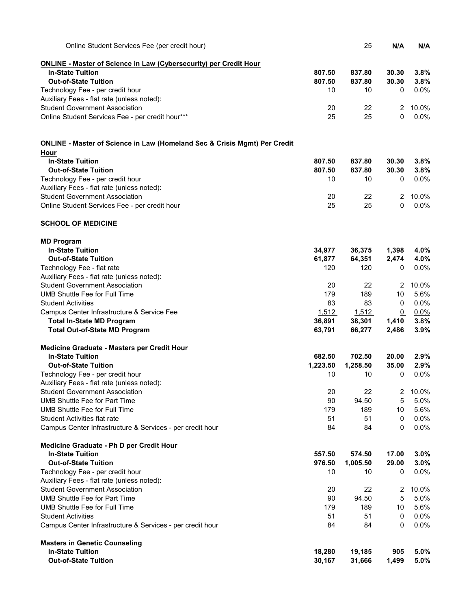| Online Student Services Fee (per credit hour)                                        |          | 25       | N/A             | N/A     |
|--------------------------------------------------------------------------------------|----------|----------|-----------------|---------|
| <b>ONLINE - Master of Science in Law (Cybersecurity) per Credit Hour</b>             |          |          |                 |         |
| <b>In-State Tuition</b>                                                              | 807.50   | 837.80   | 30.30           | 3.8%    |
| <b>Out-of-State Tuition</b>                                                          | 807.50   | 837.80   | 30.30           | 3.8%    |
| Technology Fee - per credit hour                                                     | 10       | 10       | 0               | 0.0%    |
| Auxiliary Fees - flat rate (unless noted):                                           |          |          |                 |         |
| <b>Student Government Association</b>                                                | 20       | 22       | $\overline{2}$  | 10.0%   |
| Online Student Services Fee - per credit hour***                                     | 25       | 25       | 0               | 0.0%    |
| <b>ONLINE - Master of Science in Law (Homeland Sec &amp; Crisis Mgmt) Per Credit</b> |          |          |                 |         |
| Hour                                                                                 |          |          |                 |         |
| <b>In-State Tuition</b>                                                              | 807.50   | 837.80   | 30.30           | 3.8%    |
| <b>Out-of-State Tuition</b>                                                          | 807.50   | 837.80   | 30.30           | 3.8%    |
| Technology Fee - per credit hour                                                     | 10       | 10       | 0               | 0.0%    |
| Auxiliary Fees - flat rate (unless noted):                                           |          |          |                 |         |
| <b>Student Government Association</b>                                                | 20       | 22       | $\overline{2}$  | 10.0%   |
| Online Student Services Fee - per credit hour                                        | 25       | 25       | 0               | $0.0\%$ |
| <b>SCHOOL OF MEDICINE</b>                                                            |          |          |                 |         |
| <b>MD Program</b>                                                                    |          |          |                 |         |
| <b>In-State Tuition</b>                                                              | 34,977   | 36,375   | 1,398           | 4.0%    |
| <b>Out-of-State Tuition</b>                                                          | 61,877   | 64,351   | 2,474           | 4.0%    |
| Technology Fee - flat rate                                                           | 120      | 120      | 0               | 0.0%    |
| Auxiliary Fees - flat rate (unless noted):                                           |          |          |                 |         |
| <b>Student Government Association</b>                                                | 20       | 22       | 2               | 10.0%   |
| <b>UMB Shuttle Fee for Full Time</b>                                                 | 179      | 189      | 10              | 5.6%    |
| <b>Student Activities</b>                                                            | 83       | 83       | 0               | 0.0%    |
| Campus Center Infrastructure & Service Fee                                           | 1,512    | 1,512    | $\underline{0}$ | $0.0\%$ |
| <b>Total In-State MD Program</b>                                                     | 36,891   | 38,301   | 1,410           | 3.8%    |
| <b>Total Out-of-State MD Program</b>                                                 | 63,791   | 66,277   | 2,486           | 3.9%    |
| Medicine Graduate - Masters per Credit Hour                                          |          |          |                 |         |
| <b>In-State Tuition</b>                                                              | 682.50   | 702.50   | 20.00           | 2.9%    |
| <b>Out-of-State Tuition</b>                                                          | 1,223.50 | 1,258.50 | 35.00           | 2.9%    |
| Technology Fee - per credit hour                                                     | 10       | 10       | 0               | 0.0%    |
| Auxiliary Fees - flat rate (unless noted):                                           |          |          |                 |         |
| <b>Student Government Association</b>                                                | 20       | 22       | 2               | 10.0%   |
| <b>UMB Shuttle Fee for Part Time</b>                                                 | 90       | 94.50    | 5               | 5.0%    |
| <b>UMB Shuttle Fee for Full Time</b>                                                 | 179      | 189      | 10              | 5.6%    |
| <b>Student Activities flat rate</b>                                                  | 51       | 51       | 0               | 0.0%    |
| Campus Center Infrastructure & Services - per credit hour                            | 84       | 84       | 0               | 0.0%    |
| Medicine Graduate - Ph D per Credit Hour                                             |          |          |                 |         |
| <b>In-State Tuition</b>                                                              | 557.50   | 574.50   | 17.00           | 3.0%    |
| <b>Out-of-State Tuition</b>                                                          | 976.50   | 1,005.50 | 29.00           | 3.0%    |
| Technology Fee - per credit hour                                                     | 10       | 10       | 0               | 0.0%    |
| Auxiliary Fees - flat rate (unless noted):                                           |          |          |                 |         |
| <b>Student Government Association</b>                                                | 20       | 22       | 2               | 10.0%   |
| <b>UMB Shuttle Fee for Part Time</b>                                                 | 90       | 94.50    | 5               | 5.0%    |
| <b>UMB Shuttle Fee for Full Time</b>                                                 | 179      | 189      | 10              | 5.6%    |
| <b>Student Activities</b>                                                            | 51       | 51       | 0               | 0.0%    |
| Campus Center Infrastructure & Services - per credit hour                            | 84       | 84       | 0               | 0.0%    |
| <b>Masters in Genetic Counseling</b>                                                 |          |          |                 |         |
| <b>In-State Tuition</b>                                                              | 18,280   | 19,185   | 905             | 5.0%    |
| <b>Out-of-State Tuition</b>                                                          | 30,167   | 31,666   | 1,499           | 5.0%    |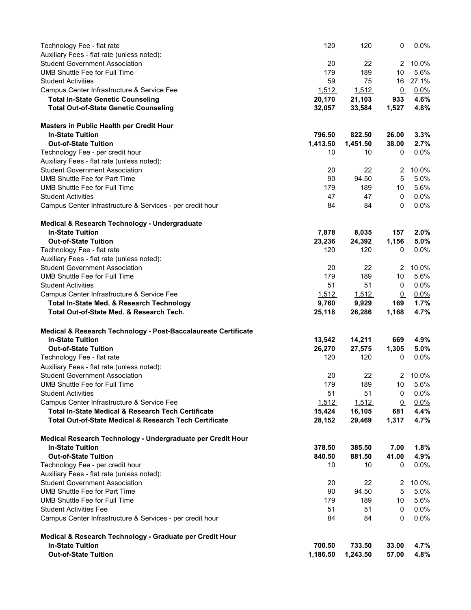| Technology Fee - flat rate                                        | 120      | 120      | 0              | 0.0%    |
|-------------------------------------------------------------------|----------|----------|----------------|---------|
| Auxiliary Fees - flat rate (unless noted):                        |          |          |                |         |
| <b>Student Government Association</b>                             | 20       | 22       | $\overline{2}$ | 10.0%   |
| <b>UMB Shuttle Fee for Full Time</b>                              | 179      | 189      | 10             | 5.6%    |
| <b>Student Activities</b>                                         | 59       | 75       | 16             | 27.1%   |
| Campus Center Infrastructure & Service Fee                        | 1,512    | 1,512    | $\Omega$       | 0.0%    |
| <b>Total In-State Genetic Counseling</b>                          | 20,170   | 21,103   | 933            | 4.6%    |
| <b>Total Out-of-State Genetic Counseling</b>                      | 32,057   | 33,584   | 1,527          | 4.8%    |
| Masters in Public Health per Credit Hour                          |          |          |                |         |
| <b>In-State Tuition</b>                                           | 796.50   | 822.50   | 26.00          | 3.3%    |
| <b>Out-of-State Tuition</b>                                       | 1,413.50 | 1,451.50 | 38.00          | 2.7%    |
| Technology Fee - per credit hour                                  | 10       | 10       | 0              | 0.0%    |
| Auxiliary Fees - flat rate (unless noted):                        |          |          |                |         |
| <b>Student Government Association</b>                             | 20       | 22       | 2              | 10.0%   |
| <b>UMB Shuttle Fee for Part Time</b>                              | 90       | 94.50    | 5              | 5.0%    |
| UMB Shuttle Fee for Full Time                                     | 179      | 189      | 10             | 5.6%    |
| <b>Student Activities</b>                                         | 47       | 47       | 0              | 0.0%    |
| Campus Center Infrastructure & Services - per credit hour         | 84       | 84       | 0              | 0.0%    |
| Medical & Research Technology - Undergraduate                     |          |          |                |         |
| <b>In-State Tuition</b>                                           | 7,878    | 8,035    | 157            | 2.0%    |
| <b>Out-of-State Tuition</b>                                       | 23,236   | 24,392   | 1,156          | 5.0%    |
| Technology Fee - flat rate                                        | 120      | 120      | 0              | 0.0%    |
| Auxiliary Fees - flat rate (unless noted):                        |          |          |                |         |
| <b>Student Government Association</b>                             | 20       | 22       | $\mathbf{2}$   | 10.0%   |
| UMB Shuttle Fee for Full Time                                     | 179      | 189      | 10             | 5.6%    |
| <b>Student Activities</b>                                         | 51       | 51       | 0              | 0.0%    |
| Campus Center Infrastructure & Service Fee                        | 1,512    | 1,512    | $\overline{0}$ | 0.0%    |
| Total In-State Med. & Research Technology                         | 9,760    | 9,929    | 169            | 1.7%    |
| Total Out-of-State Med. & Research Tech.                          | 25,118   | 26,286   | 1,168          | 4.7%    |
|                                                                   |          |          |                |         |
| Medical & Research Technology - Post-Baccalaureate Certificate    |          |          |                |         |
| <b>In-State Tuition</b>                                           | 13,542   | 14,211   | 669            | 4.9%    |
| <b>Out-of-State Tuition</b>                                       | 26,270   | 27,575   | 1,305          | 5.0%    |
| Technology Fee - flat rate                                        | 120      | 120      | 0              | 0.0%    |
| Auxiliary Fees - flat rate (unless noted):                        |          |          |                |         |
| <b>Student Government Association</b>                             | 20       | 22       | 2              | 10.0%   |
| <b>UMB Shuttle Fee for Full Time</b>                              | 179      | 189      | 10             | 5.6%    |
| <b>Student Activities</b>                                         | 51       | 51       | 0              | 0.0%    |
| Campus Center Infrastructure & Service Fee                        | 1,512    | 1,512    | $\Omega$       | 0.0%    |
| <b>Total In-State Medical &amp; Research Tech Certificate</b>     | 15,424   | 16,105   | 681            | 4.4%    |
| <b>Total Out-of-State Medical &amp; Research Tech Certificate</b> | 28,152   | 29,469   | 1,317          | 4.7%    |
| Medical Research Technology - Undergraduate per Credit Hour       |          |          |                |         |
| <b>In-State Tuition</b>                                           | 378.50   | 385.50   | 7.00           | 1.8%    |
| <b>Out-of-State Tuition</b>                                       | 840.50   | 881.50   | 41.00          | 4.9%    |
| Technology Fee - per credit hour                                  | 10       | 10       | 0              | $0.0\%$ |
| Auxiliary Fees - flat rate (unless noted):                        |          |          |                |         |
| <b>Student Government Association</b>                             | 20       | 22       | 2              | 10.0%   |
| <b>UMB Shuttle Fee for Part Time</b>                              | 90       | 94.50    | 5              | 5.0%    |
| UMB Shuttle Fee for Full Time                                     | 179      | 189      | 10             | 5.6%    |
| <b>Student Activities Fee</b>                                     | 51       | 51       | 0              | 0.0%    |
| Campus Center Infrastructure & Services - per credit hour         | 84       | 84       | 0              | 0.0%    |
| Medical & Research Technology - Graduate per Credit Hour          |          |          |                |         |
| <b>In-State Tuition</b>                                           | 700.50   | 733.50   | 33.00          | 4.7%    |
| <b>Out-of-State Tuition</b>                                       | 1,186.50 | 1,243.50 | 57.00          | 4.8%    |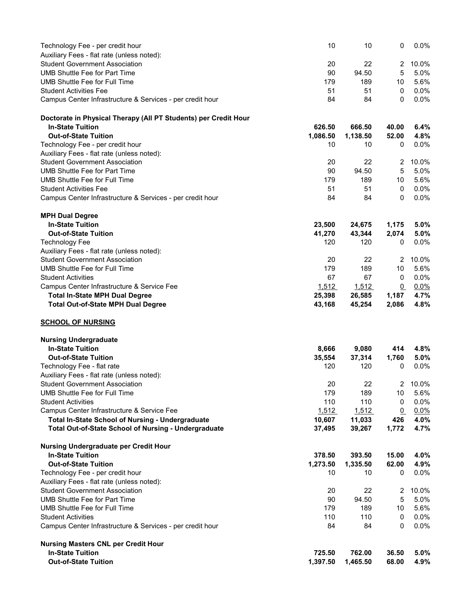| Technology Fee - per credit hour                                                    | 10           | 10           | 0                     | 0.0%         |
|-------------------------------------------------------------------------------------|--------------|--------------|-----------------------|--------------|
| Auxiliary Fees - flat rate (unless noted):                                          |              |              |                       |              |
| <b>Student Government Association</b>                                               | 20           | 22           | 2                     | 10.0%        |
| <b>UMB Shuttle Fee for Part Time</b>                                                | 90           | 94.50        | 5                     | 5.0%         |
| <b>UMB Shuttle Fee for Full Time</b>                                                | 179          | 189          | 10                    | 5.6%         |
| <b>Student Activities Fee</b>                                                       | 51           | 51           | 0                     | 0.0%         |
| Campus Center Infrastructure & Services - per credit hour                           | 84           | 84           | 0                     | 0.0%         |
| Doctorate in Physical Therapy (All PT Students) per Credit Hour                     |              |              |                       |              |
| <b>In-State Tuition</b>                                                             | 626.50       | 666.50       | 40.00                 | 6.4%         |
| <b>Out-of-State Tuition</b>                                                         | 1,086.50     | 1,138.50     | 52.00                 | 4.8%         |
| Technology Fee - per credit hour                                                    | 10           | 10           | 0                     | 0.0%         |
| Auxiliary Fees - flat rate (unless noted):                                          |              |              |                       |              |
| <b>Student Government Association</b>                                               | 20           | 22           | 2                     | 10.0%        |
| <b>UMB Shuttle Fee for Part Time</b>                                                | 90           | 94.50        | 5                     | 5.0%         |
| <b>UMB Shuttle Fee for Full Time</b>                                                | 179          | 189          | 10                    | 5.6%         |
| <b>Student Activities Fee</b>                                                       | 51           | 51           | 0                     | 0.0%         |
| Campus Center Infrastructure & Services - per credit hour                           | 84           | 84           | 0                     | 0.0%         |
| <b>MPH Dual Degree</b>                                                              |              |              |                       |              |
| <b>In-State Tuition</b>                                                             | 23,500       | 24,675       | 1,175                 | 5.0%         |
| <b>Out-of-State Tuition</b>                                                         | 41,270       | 43,344       | 2,074                 | 5.0%         |
| <b>Technology Fee</b>                                                               | 120          | 120          | 0                     | 0.0%         |
| Auxiliary Fees - flat rate (unless noted):<br><b>Student Government Association</b> | 20           | 22           |                       | 10.0%        |
| <b>UMB Shuttle Fee for Full Time</b>                                                | 179          | 189          | 2<br>10               | 5.6%         |
| <b>Student Activities</b>                                                           | 67           | 67           | 0                     | 0.0%         |
| Campus Center Infrastructure & Service Fee                                          | 1,512        | <u>1,512</u> | $\overline{0}$        | $0.0\%$      |
| <b>Total In-State MPH Dual Degree</b>                                               | 25,398       | 26,585       | 1,187                 | 4.7%         |
| <b>Total Out-of-State MPH Dual Degree</b>                                           | 43,168       | 45,254       | 2,086                 | 4.8%         |
| <b>SCHOOL OF NURSING</b>                                                            |              |              |                       |              |
| <b>Nursing Undergraduate</b>                                                        |              |              |                       |              |
| <b>In-State Tuition</b>                                                             | 8,666        | 9,080        | 414                   | 4.8%         |
| <b>Out-of-State Tuition</b>                                                         | 35,554       | 37,314       | 1,760                 | 5.0%         |
| Technology Fee - flat rate                                                          | 120          | 120          | 0                     | 0.0%         |
| Auxiliary Fees - flat rate (unless noted):                                          |              |              |                       |              |
| Student Government Association                                                      | 20           | 22           |                       | 2 10.0%      |
| <b>UMB Shuttle Fee for Full Time</b><br><b>Student Activities</b>                   | 179          | 189<br>110   | 10                    | 5.6%         |
| Campus Center Infrastructure & Service Fee                                          | 110<br>1,512 | 1,512        | 0                     | 0.0%         |
| Total In-State School of Nursing - Undergraduate                                    | 10,607       | 11,033       | $\overline{0}$<br>426 | 0.0%<br>4.0% |
| Total Out-of-State School of Nursing - Undergraduate                                | 37,495       | 39,267       | 1,772                 | 4.7%         |
| Nursing Undergraduate per Credit Hour                                               |              |              |                       |              |
| <b>In-State Tuition</b>                                                             | 378.50       | 393.50       | 15.00                 | 4.0%         |
| <b>Out-of-State Tuition</b>                                                         | 1,273.50     | 1,335.50     | 62.00                 | 4.9%         |
| Technology Fee - per credit hour                                                    | 10           | 10           | 0                     | $0.0\%$      |
| Auxiliary Fees - flat rate (unless noted):                                          |              |              |                       |              |
| <b>Student Government Association</b>                                               | 20           | 22           | 2                     | 10.0%        |
| <b>UMB Shuttle Fee for Part Time</b>                                                | 90           | 94.50        | 5                     | 5.0%         |
| UMB Shuttle Fee for Full Time                                                       | 179          | 189          | 10                    | 5.6%         |
| <b>Student Activities</b>                                                           | 110          | 110          | 0                     | 0.0%         |
| Campus Center Infrastructure & Services - per credit hour                           | 84           | 84           | 0                     | 0.0%         |
| <b>Nursing Masters CNL per Credit Hour</b>                                          |              |              |                       |              |
| <b>In-State Tuition</b>                                                             | 725.50       | 762.00       | 36.50                 | 5.0%         |
| <b>Out-of-State Tuition</b>                                                         | 1,397.50     | 1,465.50     | 68.00                 | 4.9%         |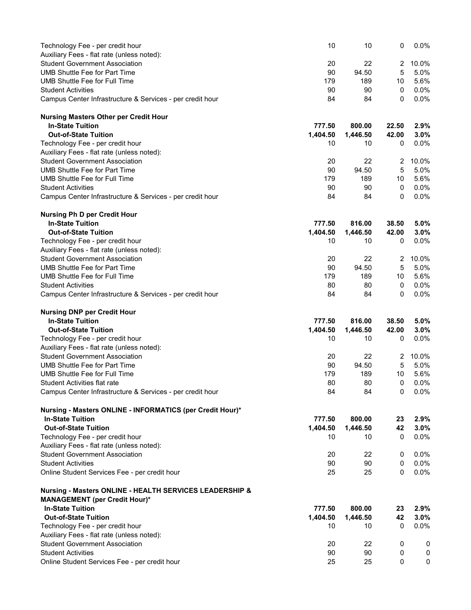| Technology Fee - per credit hour                                                       | 10             | 10             | 0              | 0.0%         |
|----------------------------------------------------------------------------------------|----------------|----------------|----------------|--------------|
| Auxiliary Fees - flat rate (unless noted):                                             |                |                |                |              |
| <b>Student Government Association</b>                                                  | 20             | 22             | $\overline{2}$ | 10.0%        |
| <b>UMB Shuttle Fee for Part Time</b>                                                   | 90             | 94.50          | 5              | 5.0%         |
| <b>UMB Shuttle Fee for Full Time</b>                                                   | 179            | 189            | 10             | 5.6%         |
| <b>Student Activities</b>                                                              | 90             | 90             | 0              | $0.0\%$      |
| Campus Center Infrastructure & Services - per credit hour                              | 84             | 84             | 0              | 0.0%         |
| <b>Nursing Masters Other per Credit Hour</b>                                           |                |                |                |              |
| <b>In-State Tuition</b>                                                                | 777.50         | 800.00         | 22.50          | 2.9%         |
| <b>Out-of-State Tuition</b>                                                            | 1,404.50       | 1,446.50       | 42.00          | 3.0%         |
| Technology Fee - per credit hour                                                       | 10             | 10             | 0              | 0.0%         |
| Auxiliary Fees - flat rate (unless noted):                                             |                |                |                |              |
| <b>Student Government Association</b>                                                  | 20             | 22             | 2              | 10.0%        |
| <b>UMB Shuttle Fee for Part Time</b>                                                   | 90             | 94.50          | 5              | 5.0%         |
| <b>UMB Shuttle Fee for Full Time</b>                                                   | 179            | 189            | 10             | 5.6%         |
| <b>Student Activities</b><br>Campus Center Infrastructure & Services - per credit hour | 90<br>84       | 90<br>84       | 0<br>0         | 0.0%<br>0.0% |
|                                                                                        |                |                |                |              |
| <b>Nursing Ph D per Credit Hour</b>                                                    |                |                |                |              |
| <b>In-State Tuition</b><br><b>Out-of-State Tuition</b>                                 | 777.50         | 816.00         | 38.50          | 5.0%         |
| Technology Fee - per credit hour                                                       | 1,404.50<br>10 | 1,446.50<br>10 | 42.00<br>0     | 3.0%<br>0.0% |
| Auxiliary Fees - flat rate (unless noted):                                             |                |                |                |              |
| <b>Student Government Association</b>                                                  | 20             | 22             | 2              | 10.0%        |
| <b>UMB Shuttle Fee for Part Time</b>                                                   | 90             | 94.50          | 5              | 5.0%         |
| UMB Shuttle Fee for Full Time                                                          | 179            | 189            | 10             | 5.6%         |
| <b>Student Activities</b>                                                              | 80             | 80             | 0              | 0.0%         |
| Campus Center Infrastructure & Services - per credit hour                              | 84             | 84             | 0              | 0.0%         |
| <b>Nursing DNP per Credit Hour</b>                                                     |                |                |                |              |
| <b>In-State Tuition</b>                                                                | 777.50         | 816.00         | 38.50          | 5.0%         |
| <b>Out-of-State Tuition</b>                                                            | 1,404.50       | 1,446.50       | 42.00          | 3.0%         |
| Technology Fee - per credit hour                                                       | 10             | 10             | 0              | 0.0%         |
| Auxiliary Fees - flat rate (unless noted):                                             |                |                |                |              |
| <b>Student Government Association</b>                                                  | 20             | 22             | 2              | 10.0%        |
| <b>UMB Shuttle Fee for Part Time</b>                                                   | 90             | 94.50          | 5              | 5.0%         |
| <b>UMB Shuttle Fee for Full Time</b>                                                   | 179            | 189            | 10             | 5.6%         |
| <b>Student Activities flat rate</b>                                                    | 80             | 80             | 0              | 0.0%         |
| Campus Center Infrastructure & Services - per credit hour                              | 84             | 84             | 0              | $0.0\%$      |
| Nursing - Masters ONLINE - INFORMATICS (per Credit Hour)*                              |                |                |                |              |
| <b>In-State Tuition</b>                                                                | 777.50         | 800.00         | 23             | 2.9%         |
| <b>Out-of-State Tuition</b>                                                            | 1,404.50       | 1,446.50       | 42             | 3.0%         |
| Technology Fee - per credit hour                                                       | 10             | 10             | 0              | $0.0\%$      |
| Auxiliary Fees - flat rate (unless noted):                                             |                |                |                |              |
| <b>Student Government Association</b>                                                  | 20             | 22             | 0              | 0.0%         |
| <b>Student Activities</b>                                                              | 90             | 90             | 0              | $0.0\%$      |
| Online Student Services Fee - per credit hour                                          | 25             | 25             | 0              | $0.0\%$      |
| Nursing - Masters ONLINE - HEALTH SERVICES LEADERSHIP &                                |                |                |                |              |
| <b>MANAGEMENT</b> (per Credit Hour)*                                                   |                |                |                |              |
| <b>In-State Tuition</b>                                                                | 777.50         | 800.00         | 23             | 2.9%         |
| <b>Out-of-State Tuition</b>                                                            | 1,404.50       | 1,446.50       | 42             | 3.0%         |
| Technology Fee - per credit hour                                                       | 10             | 10             | 0              | 0.0%         |
| Auxiliary Fees - flat rate (unless noted):                                             |                |                |                |              |
| <b>Student Government Association</b><br><b>Student Activities</b>                     | 20<br>90       | 22<br>90       | 0<br>0         | 0<br>0       |
| Online Student Services Fee - per credit hour                                          | 25             | 25             | 0              | 0            |
|                                                                                        |                |                |                |              |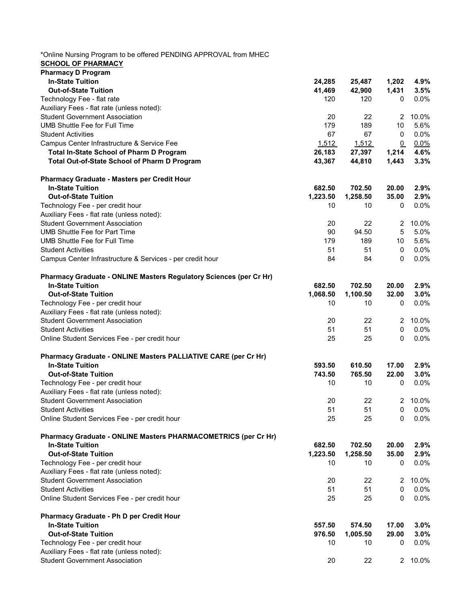| *Online Nursing Program to be offered PENDING APPROVAL from MHEC<br><b>SCHOOL OF PHARMACY</b> |          |          |              |         |
|-----------------------------------------------------------------------------------------------|----------|----------|--------------|---------|
| <b>Pharmacy D Program</b>                                                                     |          |          |              |         |
| <b>In-State Tuition</b>                                                                       | 24,285   | 25,487   | 1,202        | 4.9%    |
| <b>Out-of-State Tuition</b>                                                                   | 41,469   | 42,900   | 1,431        | 3.5%    |
| Technology Fee - flat rate                                                                    | 120      | 120      | 0            | 0.0%    |
| Auxiliary Fees - flat rate (unless noted):                                                    |          |          |              |         |
| <b>Student Government Association</b>                                                         | 20       | 22       | 2            | 10.0%   |
| <b>UMB Shuttle Fee for Full Time</b>                                                          | 179      | 189      | 10           | 5.6%    |
| <b>Student Activities</b>                                                                     | 67       | 67       | 0            | 0.0%    |
| Campus Center Infrastructure & Service Fee                                                    | 1,512    | 1,512    | $\Omega$     | 0.0%    |
|                                                                                               |          | 27,397   | 1,214        | 4.6%    |
| Total In-State School of Pharm D Program                                                      | 26,183   |          |              |         |
| Total Out-of-State School of Pharm D Program                                                  | 43,367   | 44,810   | 1,443        | 3.3%    |
| Pharmacy Graduate - Masters per Credit Hour                                                   |          |          |              |         |
| <b>In-State Tuition</b>                                                                       | 682.50   | 702.50   | 20.00        | 2.9%    |
| <b>Out-of-State Tuition</b>                                                                   | 1,223.50 | 1,258.50 | 35.00        | 2.9%    |
| Technology Fee - per credit hour                                                              | 10       | 10       | 0            | 0.0%    |
| Auxiliary Fees - flat rate (unless noted):                                                    |          |          |              |         |
| <b>Student Government Association</b>                                                         | 20       | 22       | 2            | 10.0%   |
| <b>UMB Shuttle Fee for Part Time</b>                                                          | 90       | 94.50    | $\sqrt{5}$   | 5.0%    |
| <b>UMB Shuttle Fee for Full Time</b>                                                          | 179      | 189      | 10           | 5.6%    |
|                                                                                               |          | 51       |              |         |
| <b>Student Activities</b>                                                                     | 51       |          | 0            | 0.0%    |
| Campus Center Infrastructure & Services - per credit hour                                     | 84       | 84       | 0            | 0.0%    |
| Pharmacy Graduate - ONLINE Masters Regulatory Sciences (per Cr Hr)                            |          |          |              |         |
| <b>In-State Tuition</b>                                                                       | 682.50   | 702.50   | 20.00        | 2.9%    |
| <b>Out-of-State Tuition</b>                                                                   | 1,068.50 | 1,100.50 | 32.00        | 3.0%    |
| Technology Fee - per credit hour                                                              | 10       | 10       | 0            | 0.0%    |
| Auxiliary Fees - flat rate (unless noted):                                                    |          |          |              |         |
| <b>Student Government Association</b>                                                         | 20       | 22       | $\mathbf{2}$ | 10.0%   |
| <b>Student Activities</b>                                                                     | 51       | 51       | $\mathbf 0$  | 0.0%    |
| Online Student Services Fee - per credit hour                                                 | 25       | 25       | 0            | 0.0%    |
|                                                                                               |          |          |              |         |
| Pharmacy Graduate - ONLINE Masters PALLIATIVE CARE (per Cr Hr)                                |          |          |              |         |
| <b>In-State Tuition</b>                                                                       | 593.50   | 610.50   | 17.00        | 2.9%    |
| <b>Out-of-State Tuition</b>                                                                   | 743.50   | 765.50   | 22.00        | 3.0%    |
| Technology Fee - per credit hour                                                              | 10       | 10       | 0            | $0.0\%$ |
| Auxiliary Fees - flat rate (unless noted):                                                    |          |          |              |         |
| <b>Student Government Association</b>                                                         | 20       | 22       | 2            | 10.0%   |
| <b>Student Activities</b>                                                                     | 51       | 51       | 0            | $0.0\%$ |
| Online Student Services Fee - per credit hour                                                 | 25       | 25       | 0            | 0.0%    |
| Pharmacy Graduate - ONLINE Masters PHARMACOMETRICS (per Cr Hr)                                |          |          |              |         |
| <b>In-State Tuition</b>                                                                       | 682.50   | 702.50   | 20.00        | 2.9%    |
| <b>Out-of-State Tuition</b>                                                                   | 1,223.50 | 1,258.50 | 35.00        | 2.9%    |
| Technology Fee - per credit hour                                                              | 10       | 10       | 0            | $0.0\%$ |
|                                                                                               |          |          |              |         |
| Auxiliary Fees - flat rate (unless noted):                                                    |          |          |              |         |
| <b>Student Government Association</b>                                                         | 20       | 22       | 2            | 10.0%   |
| <b>Student Activities</b>                                                                     | 51       | 51       | 0            | $0.0\%$ |
| Online Student Services Fee - per credit hour                                                 | 25       | 25       | 0            | 0.0%    |
| Pharmacy Graduate - Ph D per Credit Hour                                                      |          |          |              |         |
| <b>In-State Tuition</b>                                                                       | 557.50   | 574.50   | 17.00        | 3.0%    |
| <b>Out-of-State Tuition</b>                                                                   | 976.50   | 1,005.50 | 29.00        | 3.0%    |
| Technology Fee - per credit hour                                                              | 10       | 10       | 0            | $0.0\%$ |
| Auxiliary Fees - flat rate (unless noted):                                                    |          |          |              |         |
| <b>Student Government Association</b>                                                         | 20       | 22       | $\mathbf{2}$ | 10.0%   |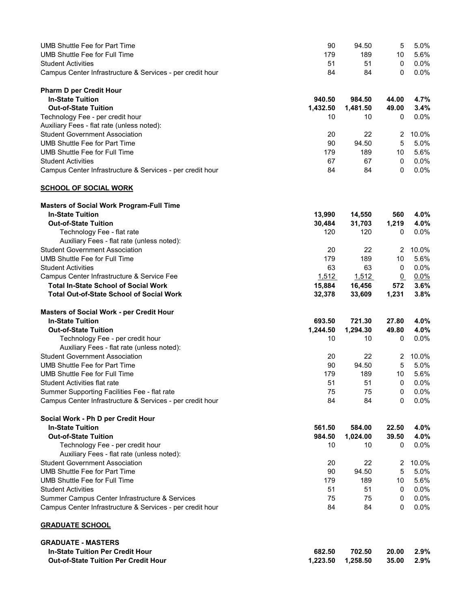| <b>UMB Shuttle Fee for Part Time</b><br><b>UMB Shuttle Fee for Full Time</b> | 90<br>179 | 94.50<br>189 | 5<br>10        | 5.0%<br>5.6% |
|------------------------------------------------------------------------------|-----------|--------------|----------------|--------------|
| <b>Student Activities</b>                                                    | 51        | 51           | 0              | 0.0%         |
| Campus Center Infrastructure & Services - per credit hour                    | 84        | 84           | 0              | 0.0%         |
|                                                                              |           |              |                |              |
| <b>Pharm D per Credit Hour</b>                                               |           |              |                |              |
| <b>In-State Tuition</b>                                                      | 940.50    | 984.50       | 44.00          | 4.7%         |
| <b>Out-of-State Tuition</b>                                                  | 1,432.50  | 1,481.50     | 49.00          | 3.4%         |
| Technology Fee - per credit hour                                             | 10        | 10           | 0              | $0.0\%$      |
| Auxiliary Fees - flat rate (unless noted):                                   |           |              |                |              |
| <b>Student Government Association</b>                                        | 20        | 22           | $\overline{2}$ | 10.0%        |
| <b>UMB Shuttle Fee for Part Time</b>                                         | 90        | 94.50        | 5              | 5.0%         |
| <b>UMB Shuttle Fee for Full Time</b>                                         | 179       | 189          | 10             | 5.6%         |
| <b>Student Activities</b>                                                    | 67        | 67           | 0              | 0.0%         |
| Campus Center Infrastructure & Services - per credit hour                    | 84        | 84           | 0              | 0.0%         |
| <b>SCHOOL OF SOCIAL WORK</b>                                                 |           |              |                |              |
| <b>Masters of Social Work Program-Full Time</b>                              |           |              |                |              |
| <b>In-State Tuition</b>                                                      | 13,990    | 14,550       | 560            | 4.0%         |
| <b>Out-of-State Tuition</b>                                                  | 30,484    | 31,703       | 1,219          | 4.0%         |
| Technology Fee - flat rate                                                   | 120       | 120          | 0              | 0.0%         |
| Auxiliary Fees - flat rate (unless noted):                                   |           |              |                |              |
| <b>Student Government Association</b>                                        | 20        | 22           | 2              | 10.0%        |
| UMB Shuttle Fee for Full Time                                                | 179       | 189          | 10             | 5.6%         |
| <b>Student Activities</b>                                                    | 63        | 63           | 0              | 0.0%         |
| Campus Center Infrastructure & Service Fee                                   | 1,512     | 1,512        | $\Omega$       | $0.0\%$      |
| <b>Total In-State School of Social Work</b>                                  | 15,884    | 16,456       | 572            | 3.6%         |
| <b>Total Out-of-State School of Social Work</b>                              | 32,378    | 33,609       | 1,231          | 3.8%         |
| <b>Masters of Social Work - per Credit Hour</b>                              |           |              |                |              |
| <b>In-State Tuition</b>                                                      | 693.50    | 721.30       | 27.80          | 4.0%         |
| <b>Out-of-State Tuition</b>                                                  | 1,244.50  | 1,294.30     | 49.80          | 4.0%         |
| Technology Fee - per credit hour                                             | 10        | 10           | 0              | $0.0\%$      |
| Auxiliary Fees - flat rate (unless noted):                                   |           |              |                |              |
| <b>Student Government Association</b>                                        | 20        | 22           | $\overline{2}$ | 10.0%        |
| <b>UMB Shuttle Fee for Part Time</b>                                         | 90        | 94.50        | 5              | 5.0%         |
| UMB Shuttle Fee for Full Time                                                | 179       | 189          | 10             | 5.6%         |
| Student Activities flat rate                                                 | 51        | 51           | 0              | 0.0%         |
| Summer Supporting Facilities Fee - flat rate                                 | 75        | 75           | 0              | $0.0\%$      |
| Campus Center Infrastructure & Services - per credit hour                    | 84        | 84           | 0              | 0.0%         |
| Social Work - Ph D per Credit Hour                                           |           |              |                |              |
| <b>In-State Tuition</b>                                                      | 561.50    | 584.00       | 22.50          | 4.0%         |
| <b>Out-of-State Tuition</b>                                                  | 984.50    | 1,024.00     | 39.50          | 4.0%         |
| Technology Fee - per credit hour                                             | 10        | 10           | 0              | $0.0\%$      |
| Auxiliary Fees - flat rate (unless noted):                                   |           |              |                |              |
| <b>Student Government Association</b>                                        | 20        | 22           | $\overline{2}$ | 10.0%        |
| <b>UMB Shuttle Fee for Part Time</b>                                         | 90        | 94.50        | 5              | 5.0%         |
| <b>UMB Shuttle Fee for Full Time</b>                                         | 179       | 189          | 10             | 5.6%         |
| <b>Student Activities</b>                                                    | 51        | 51           | 0              | 0.0%         |
| Summer Campus Center Infrastructure & Services                               | 75        | 75           | 0              | 0.0%         |
| Campus Center Infrastructure & Services - per credit hour                    | 84        | 84           | 0              | 0.0%         |
| <b>GRADUATE SCHOOL</b>                                                       |           |              |                |              |
| <b>GRADUATE - MASTERS</b>                                                    |           |              |                |              |
| <b>In-State Tuition Per Credit Hour</b>                                      | 682.50    | 702.50       | 20.00          | 2.9%         |
| <b>Out-of-State Tuition Per Credit Hour</b>                                  | 1,223.50  | 1,258.50     | 35.00          | 2.9%         |